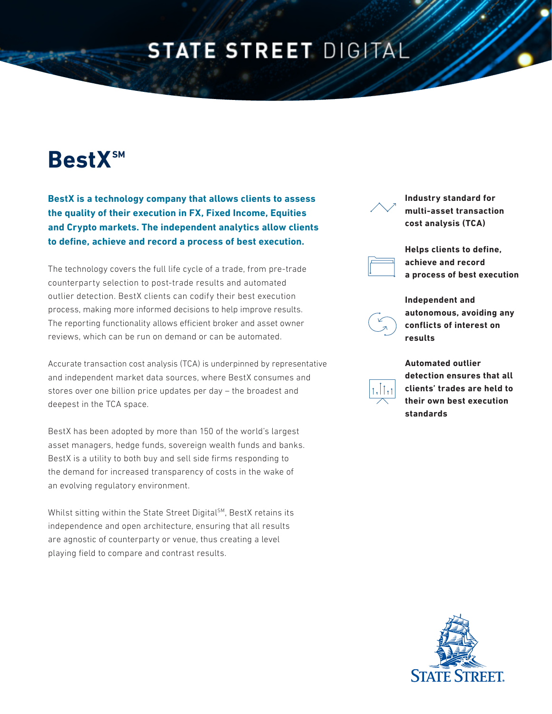## **STATE STREET DIGITAL**

# **BestXSM**

**BestX is a technology company that allows clients to assess the quality of their execution in FX, Fixed Income, Equities and Crypto markets. The independent analytics allow clients to define, achieve and record a process of best execution.** 

The technology covers the full life cycle of a trade, from pre-trade counterparty selection to post-trade results and automated outlier detection. BestX clients can codify their best execution process, making more informed decisions to help improve results. The reporting functionality allows efficient broker and asset owner reviews, which can be run on demand or can be automated.

Accurate transaction cost analysis (TCA) is underpinned by representative and independent market data sources, where BestX consumes and stores over one billion price updates per day – the broadest and deepest in the TCA space.

BestX has been adopted by more than 150 of the world's largest asset managers, hedge funds, sovereign wealth funds and banks. BestX is a utility to both buy and sell side firms responding to the demand for increased transparency of costs in the wake of an evolving regulatory environment.

Whilst sitting within the State Street Digital<sup>SM</sup>, BestX retains its independence and open architecture, ensuring that all results are agnostic of counterparty or venue, thus creating a level playing field to compare and contrast results.

**Industry standard for multi-asset transaction cost analysis (TCA)** 



**Helps clients to define, achieve and record a process of best execution**



**Independent and autonomous, avoiding any conflicts of interest on results**



**Automated outlier detection ensures that all clients' trades are held to their own best execution standards**

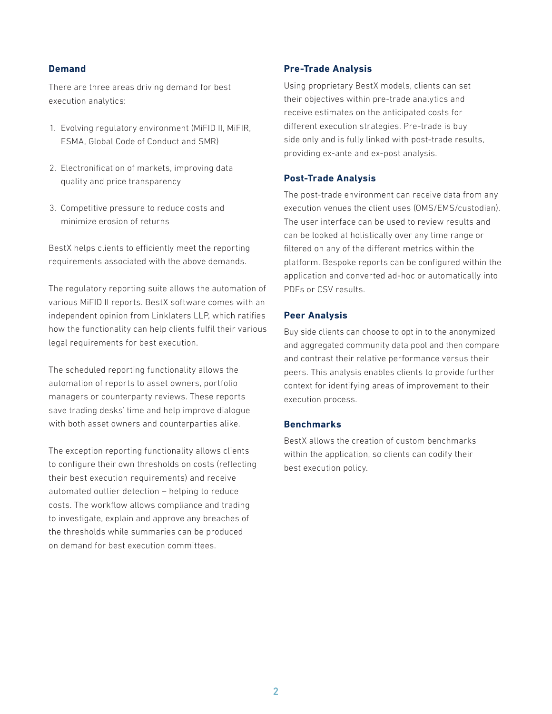#### **Demand**

There are three areas driving demand for best execution analytics:

- 1. Evolving regulatory environment (MiFID II, MiFIR, ESMA, Global Code of Conduct and SMR)
- 2. Electronification of markets, improving data quality and price transparency
- 3. Competitive pressure to reduce costs and minimize erosion of returns

BestX helps clients to efficiently meet the reporting requirements associated with the above demands.

The regulatory reporting suite allows the automation of various MiFID II reports. BestX software comes with an independent opinion from Linklaters LLP, which ratifies how the functionality can help clients fulfil their various legal requirements for best execution.

The scheduled reporting functionality allows the automation of reports to asset owners, portfolio managers or counterparty reviews. These reports save trading desks' time and help improve dialogue with both asset owners and counterparties alike.

The exception reporting functionality allows clients to configure their own thresholds on costs (reflecting their best execution requirements) and receive automated outlier detection – helping to reduce costs. The workflow allows compliance and trading to investigate, explain and approve any breaches of the thresholds while summaries can be produced on demand for best execution committees.

#### **Pre-Trade Analysis**

Using proprietary BestX models, clients can set their objectives within pre-trade analytics and receive estimates on the anticipated costs for different execution strategies. Pre-trade is buy side only and is fully linked with post-trade results, providing ex-ante and ex-post analysis.

#### **Post-Trade Analysis**

The post-trade environment can receive data from any execution venues the client uses (OMS/EMS/custodian). The user interface can be used to review results and can be looked at holistically over any time range or filtered on any of the different metrics within the platform. Bespoke reports can be configured within the application and converted ad-hoc or automatically into PDFs or CSV results.

#### **Peer Analysis**

Buy side clients can choose to opt in to the anonymized and aggregated community data pool and then compare and contrast their relative performance versus their peers. This analysis enables clients to provide further context for identifying areas of improvement to their execution process.

#### **Benchmarks**

BestX allows the creation of custom benchmarks within the application, so clients can codify their best execution policy.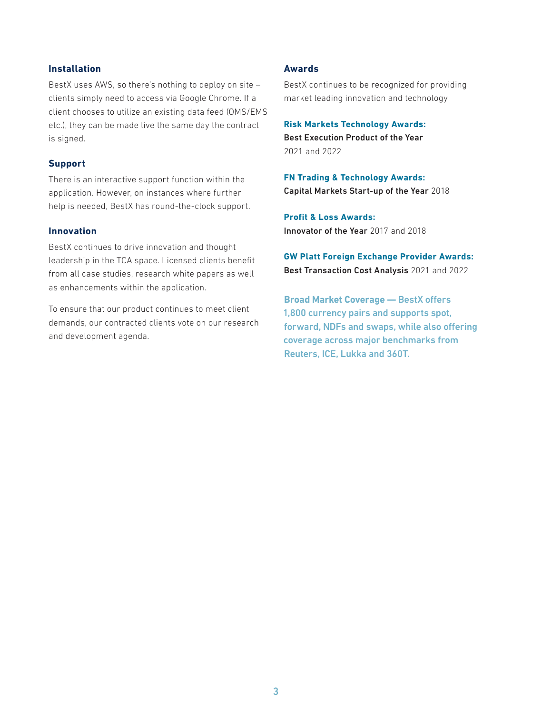#### **Installation**

BestX uses AWS, so there's nothing to deploy on site – clients simply need to access via Google Chrome. If a client chooses to utilize an existing data feed (OMS/EMS etc.), they can be made live the same day the contract is signed.

#### **Support**

There is an interactive support function within the application. However, on instances where further help is needed, BestX has round-the-clock support.

#### **Innovation**

BestX continues to drive innovation and thought leadership in the TCA space. Licensed clients benefit from all case studies, research white papers as well as enhancements within the application.

To ensure that our product continues to meet client demands, our contracted clients vote on our research and development agenda.

#### **Awards**

BestX continues to be recognized for providing market leading innovation and technology

**Risk Markets Technology Awards:** Best Execution Product of the Year 2021 and 2022

**FN Trading & Technology Awards:** Capital Markets Start-up of the Year 2018

**Profit & Loss Awards:**  Innovator of the Year 2017 and 2018

**GW Platt Foreign Exchange Provider Awards:** Best Transaction Cost Analysis 2021 and 2022

**Broad Market Coverage —** BestX offers 1,800 currency pairs and supports spot, forward, NDFs and swaps, while also offering coverage across major benchmarks from Reuters, ICE, Lukka and 360T.